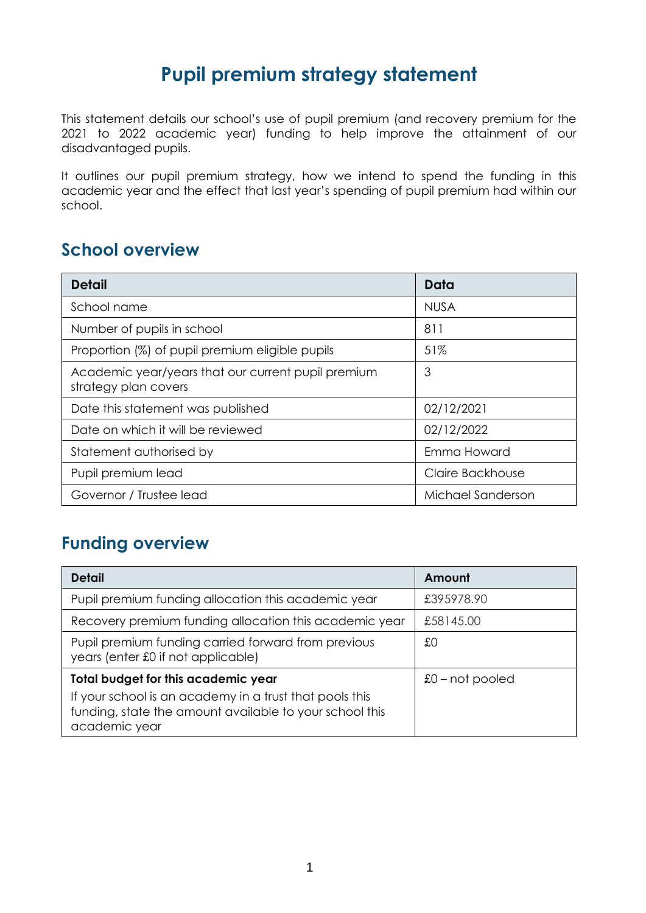## **Pupil premium strategy statement**

This statement details our school's use of pupil premium (and recovery premium for the 2021 to 2022 academic year) funding to help improve the attainment of our disadvantaged pupils.

It outlines our pupil premium strategy, how we intend to spend the funding in this academic year and the effect that last year's spending of pupil premium had within our school.

#### **School overview**

| <b>Detail</b>                                                              | Data              |
|----------------------------------------------------------------------------|-------------------|
| School name                                                                | <b>NUSA</b>       |
| Number of pupils in school                                                 | 811               |
| Proportion (%) of pupil premium eligible pupils                            | 51%               |
| Academic year/years that our current pupil premium<br>strategy plan covers | 3                 |
| Date this statement was published                                          | 02/12/2021        |
| Date on which it will be reviewed                                          | 02/12/2022        |
| Statement authorised by                                                    | Emma Howard       |
| Pupil premium lead                                                         | Claire Backhouse  |
| Governor / Trustee lead                                                    | Michael Sanderson |

### **Funding overview**

| <b>Detail</b>                                                                                                                       | Amount            |
|-------------------------------------------------------------------------------------------------------------------------------------|-------------------|
| Pupil premium funding allocation this academic year                                                                                 | £395978.90        |
| Recovery premium funding allocation this academic year                                                                              | £58145.00         |
| Pupil premium funding carried forward from previous<br>years (enter £0 if not applicable)                                           | £О                |
| Total budget for this academic year                                                                                                 | $$0$ – not pooled |
| If your school is an academy in a trust that pools this<br>funding, state the amount available to your school this<br>academic year |                   |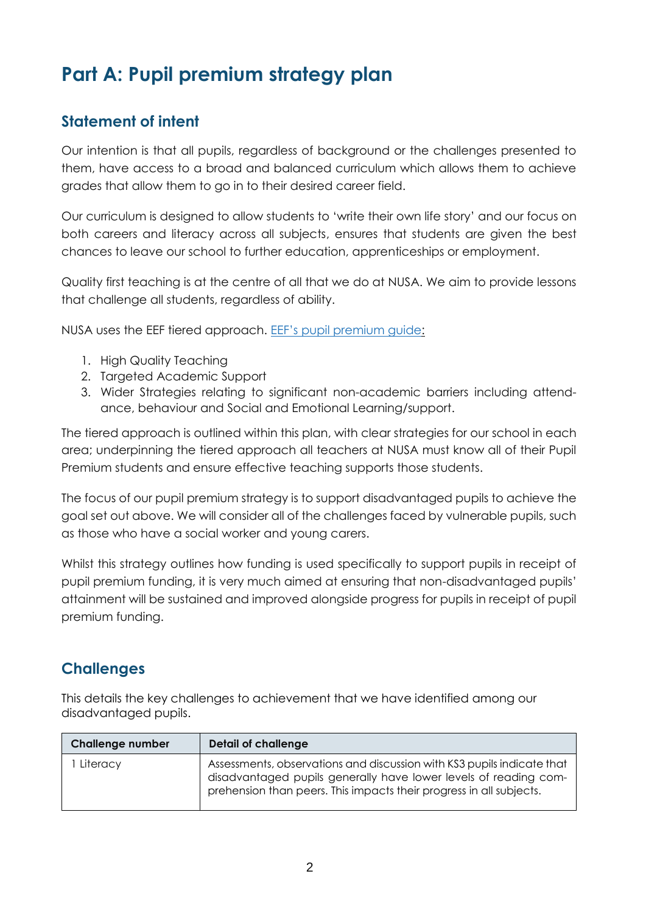# **Part A: Pupil premium strategy plan**

#### **Statement of intent**

Our intention is that all pupils, regardless of background or the challenges presented to them, have access to a broad and balanced curriculum which allows them to achieve grades that allow them to go in to their desired career field.

Our curriculum is designed to allow students to 'write their own life story' and our focus on both careers and literacy across all subjects, ensures that students are given the best chances to leave our school to further education, apprenticeships or employment.

Quality first teaching is at the centre of all that we do at NUSA. We aim to provide lessons that challenge all students, regardless of ability.

NUSA uses the EEF tiered approach. EEF's pupil [premium](https://educationendowmentfoundation.org.uk/evidence-summaries/pupil-premium-guide/) guide:

- 1. High Quality Teaching
- 2. Targeted Academic Support
- 3. Wider Strategies relating to significant non-academic barriers including attendance, behaviour and Social and Emotional Learning/support.

The tiered approach is outlined within this plan, with clear strategies for our school in each area; underpinning the tiered approach all teachers at NUSA must know all of their Pupil Premium students and ensure effective teaching supports those students.

The focus of our pupil premium strategy is to support disadvantaged pupils to achieve the goal set out above. We will consider all of the challenges faced by vulnerable pupils, such as those who have a social worker and young carers.

Whilst this strategy outlines how funding is used specifically to support pupils in receipt of pupil premium funding, it is very much aimed at ensuring that non-disadvantaged pupils' attainment will be sustained and improved alongside progress for pupils in receipt of pupil premium funding.

#### **Challenges**

This details the key challenges to achievement that we have identified among our disadvantaged pupils.

| <b>Challenge number</b> | Detail of challenge                                                                                                                                                                                               |
|-------------------------|-------------------------------------------------------------------------------------------------------------------------------------------------------------------------------------------------------------------|
| Literacy                | Assessments, observations and discussion with KS3 pupils indicate that<br>disadvantaged pupils generally have lower levels of reading com-<br>prehension than peers. This impacts their progress in all subjects. |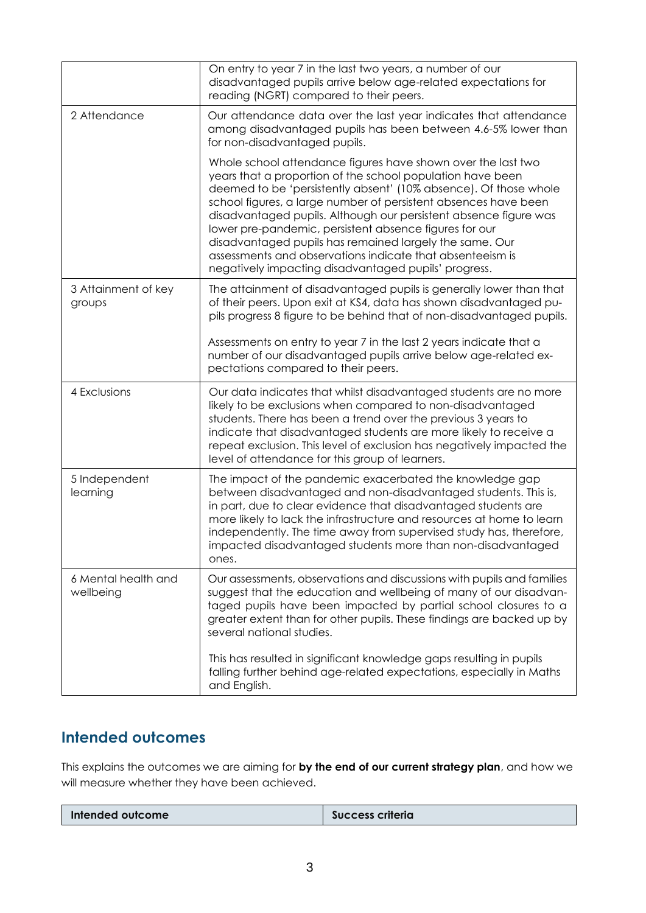|                                  | On entry to year 7 in the last two years, a number of our<br>disadvantaged pupils arrive below age-related expectations for<br>reading (NGRT) compared to their peers.                                                                                                                                                                                                                                                                                                                                                                                                          |  |
|----------------------------------|---------------------------------------------------------------------------------------------------------------------------------------------------------------------------------------------------------------------------------------------------------------------------------------------------------------------------------------------------------------------------------------------------------------------------------------------------------------------------------------------------------------------------------------------------------------------------------|--|
| 2 Attendance                     | Our attendance data over the last year indicates that attendance<br>among disadvantaged pupils has been between 4.6-5% lower than<br>for non-disadvantaged pupils.                                                                                                                                                                                                                                                                                                                                                                                                              |  |
|                                  | Whole school attendance figures have shown over the last two<br>years that a proportion of the school population have been<br>deemed to be 'persistently absent' (10% absence). Of those whole<br>school figures, a large number of persistent absences have been<br>disadvantaged pupils. Although our persistent absence figure was<br>lower pre-pandemic, persistent absence figures for our<br>disadvantaged pupils has remained largely the same. Our<br>assessments and observations indicate that absenteeism is<br>negatively impacting disadvantaged pupils' progress. |  |
| 3 Attainment of key<br>groups    | The attainment of disadvantaged pupils is generally lower than that<br>of their peers. Upon exit at KS4, data has shown disadvantaged pu-<br>pils progress 8 figure to be behind that of non-disadvantaged pupils.                                                                                                                                                                                                                                                                                                                                                              |  |
|                                  | Assessments on entry to year 7 in the last 2 years indicate that a<br>number of our disadvantaged pupils arrive below age-related ex-<br>pectations compared to their peers.                                                                                                                                                                                                                                                                                                                                                                                                    |  |
| 4 Exclusions                     | Our data indicates that whilst disadvantaged students are no more<br>likely to be exclusions when compared to non-disadvantaged<br>students. There has been a trend over the previous 3 years to<br>indicate that disadvantaged students are more likely to receive a<br>repeat exclusion. This level of exclusion has negatively impacted the<br>level of attendance for this group of learners.                                                                                                                                                                               |  |
| 5 Independent<br>learning        | The impact of the pandemic exacerbated the knowledge gap<br>between disadvantaged and non-disadvantaged students. This is,<br>in part, due to clear evidence that disadvantaged students are<br>more likely to lack the infrastructure and resources at home to learn<br>independently. The time away from supervised study has, therefore,<br>impacted disadvantaged students more than non-disadvantaged<br>ones.                                                                                                                                                             |  |
| 6 Mental health and<br>wellbeing | Our assessments, observations and discussions with pupils and families<br>suggest that the education and wellbeing of many of our disadvan-<br>taged pupils have been impacted by partial school closures to a<br>greater extent than for other pupils. These findings are backed up by<br>several national studies.                                                                                                                                                                                                                                                            |  |
|                                  | This has resulted in significant knowledge gaps resulting in pupils<br>falling further behind age-related expectations, especially in Maths<br>and English.                                                                                                                                                                                                                                                                                                                                                                                                                     |  |

#### **Intended outcomes**

This explains the outcomes we are aiming for **by the end of our current strategy plan**, and how we will measure whether they have been achieved.

|--|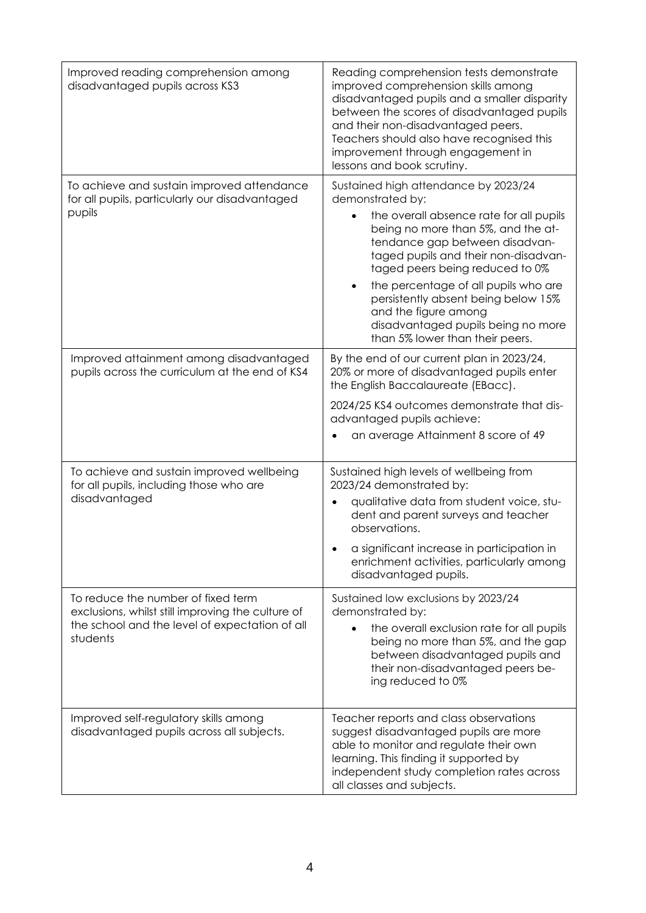| Improved reading comprehension among<br>disadvantaged pupils across KS3                                                                               | Reading comprehension tests demonstrate<br>improved comprehension skills among<br>disadvantaged pupils and a smaller disparity<br>between the scores of disadvantaged pupils<br>and their non-disadvantaged peers.<br>Teachers should also have recognised this<br>improvement through engagement in<br>lessons and book scrutiny.                                                                                                     |
|-------------------------------------------------------------------------------------------------------------------------------------------------------|----------------------------------------------------------------------------------------------------------------------------------------------------------------------------------------------------------------------------------------------------------------------------------------------------------------------------------------------------------------------------------------------------------------------------------------|
| To achieve and sustain improved attendance<br>for all pupils, particularly our disadvantaged<br>pupils                                                | Sustained high attendance by 2023/24<br>demonstrated by:<br>the overall absence rate for all pupils<br>being no more than 5%, and the at-<br>tendance gap between disadvan-<br>taged pupils and their non-disadvan-<br>taged peers being reduced to 0%<br>the percentage of all pupils who are<br>persistently absent being below 15%<br>and the figure among<br>disadvantaged pupils being no more<br>than 5% lower than their peers. |
| Improved attainment among disadvantaged<br>pupils across the curriculum at the end of KS4                                                             | By the end of our current plan in 2023/24,<br>20% or more of disadvantaged pupils enter<br>the English Baccalaureate (EBacc).<br>2024/25 KS4 outcomes demonstrate that dis-<br>advantaged pupils achieve:<br>an average Attainment 8 score of 49                                                                                                                                                                                       |
| To achieve and sustain improved wellbeing<br>for all pupils, including those who are<br>disadvantaged                                                 | Sustained high levels of wellbeing from<br>2023/24 demonstrated by:<br>qualitative data from student voice, stu-<br>dent and parent surveys and teacher<br>observations.<br>a significant increase in participation in<br>enrichment activities, particularly among<br>disadvantaged pupils.                                                                                                                                           |
| To reduce the number of fixed term<br>exclusions, whilst still improving the culture of<br>the school and the level of expectation of all<br>students | Sustained low exclusions by 2023/24<br>demonstrated by:<br>the overall exclusion rate for all pupils<br>being no more than 5%, and the gap<br>between disadvantaged pupils and<br>their non-disadvantaged peers be-<br>ing reduced to 0%                                                                                                                                                                                               |
| Improved self-regulatory skills among<br>disadvantaged pupils across all subjects.                                                                    | Teacher reports and class observations<br>suggest disadvantaged pupils are more<br>able to monitor and regulate their own<br>learning. This finding it supported by<br>independent study completion rates across<br>all classes and subjects.                                                                                                                                                                                          |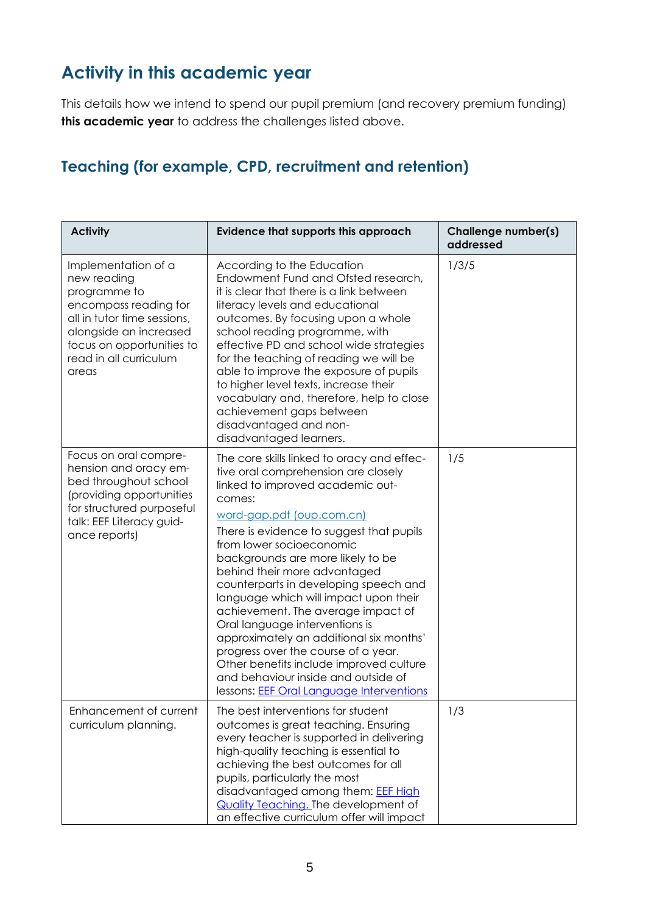## **Activity in this academic year**

This details how we intend to spend our pupil premium (and recovery premium funding) **this academic year** to address the challenges listed above.

#### **Teaching (for example, CPD, recruitment and retention)**

| <b>Activity</b>                                                                                                                                                                                      | <b>Evidence that supports this approach</b>                                                                                                                                                                                                                                                                                                                                                                                                                                                                                                                                                                                                                                         | Challenge number(s)<br>addressed |
|------------------------------------------------------------------------------------------------------------------------------------------------------------------------------------------------------|-------------------------------------------------------------------------------------------------------------------------------------------------------------------------------------------------------------------------------------------------------------------------------------------------------------------------------------------------------------------------------------------------------------------------------------------------------------------------------------------------------------------------------------------------------------------------------------------------------------------------------------------------------------------------------------|----------------------------------|
| Implementation of a<br>new reading<br>programme to<br>encompass reading for<br>all in tutor time sessions,<br>alongside an increased<br>focus on opportunities to<br>read in all curriculum<br>areas | According to the Education<br>Endowment Fund and Ofsted research,<br>it is clear that there is a link between<br>literacy levels and educational<br>outcomes. By focusing upon a whole<br>school reading programme, with<br>effective PD and school wide strategies<br>for the teaching of reading we will be<br>able to improve the exposure of pupils<br>to higher level texts, increase their<br>vocabulary and, therefore, help to close<br>achievement gaps between<br>disadvantaged and non-<br>disadvantaged learners.                                                                                                                                                       | 1/3/5                            |
| Focus on oral compre-<br>hension and oracy em-<br>bed throughout school<br>(providing opportunities<br>for structured purposeful<br>talk: EEF Literacy guid-<br>ance reports)                        | The core skills linked to oracy and effec-<br>tive oral comprehension are closely<br>linked to improved academic out-<br>comes:<br>word-gap.pdf (oup.com.cn)<br>There is evidence to suggest that pupils<br>from lower socioeconomic<br>backgrounds are more likely to be<br>behind their more advantaged<br>counterparts in developing speech and<br>language which will impact upon their<br>achievement. The average impact of<br>Oral language interventions is<br>approximately an additional six months'<br>progress over the course of a year.<br>Other benefits include improved culture<br>and behaviour inside and outside of<br>lessons: EEF Oral Language Interventions | 1/5                              |
| Enhancement of current<br>curriculum planning.                                                                                                                                                       | The best interventions for student<br>outcomes is great teaching. Ensuring<br>every teacher is supported in delivering<br>high-quality teaching is essential to<br>achieving the best outcomes for all<br>pupils, particularly the most<br>disadvantaged among them: EEF High<br><b>Quality Teaching. The development of</b><br>an effective curriculum offer will impact                                                                                                                                                                                                                                                                                                           | 1/3                              |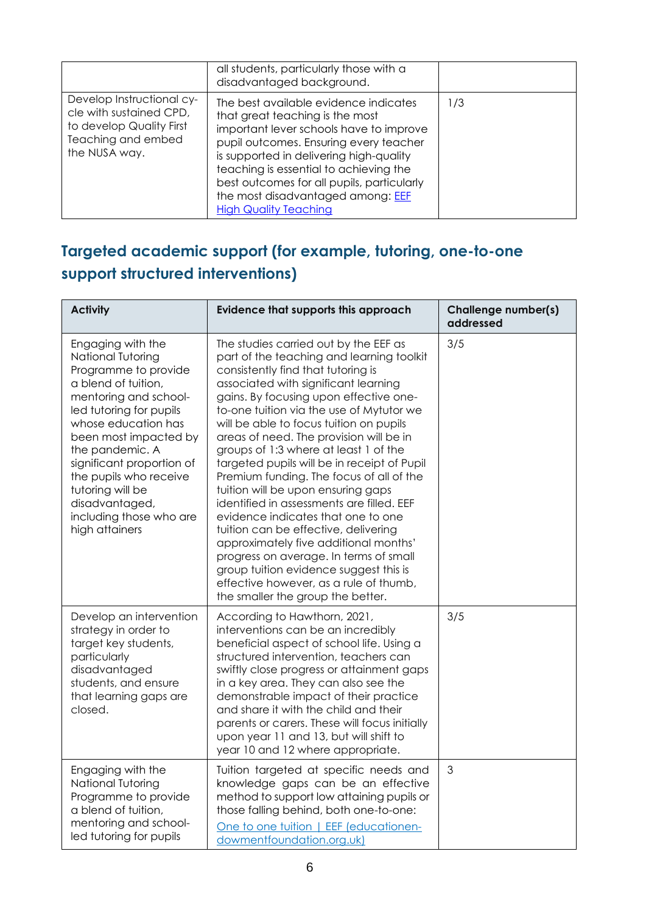|                                                                                                                         | all students, particularly those with a<br>disadvantaged background.                                                                                                                                                                                                                                                                                                  |     |
|-------------------------------------------------------------------------------------------------------------------------|-----------------------------------------------------------------------------------------------------------------------------------------------------------------------------------------------------------------------------------------------------------------------------------------------------------------------------------------------------------------------|-----|
| Develop Instructional cy-<br>cle with sustained CPD,<br>to develop Quality First<br>Teaching and embed<br>the NUSA way. | The best available evidence indicates<br>that great teaching is the most<br>important lever schools have to improve<br>pupil outcomes. Ensuring every teacher<br>is supported in delivering high-quality<br>teaching is essential to achieving the<br>best outcomes for all pupils, particularly<br>the most disadvantaged among: EEF<br><b>High Quality Teaching</b> | 1/3 |

### **Targeted academic support (for example, tutoring, one-to-one support structured interventions)**

| <b>Activity</b>                                                                                                                                                                                                                                                                                                                                        | <b>Evidence that supports this approach</b>                                                                                                                                                                                                                                                                                                                                                                                                                                                                                                                                                                                                                                                                                                                                                                                                                   | Challenge number(s)<br>addressed |
|--------------------------------------------------------------------------------------------------------------------------------------------------------------------------------------------------------------------------------------------------------------------------------------------------------------------------------------------------------|---------------------------------------------------------------------------------------------------------------------------------------------------------------------------------------------------------------------------------------------------------------------------------------------------------------------------------------------------------------------------------------------------------------------------------------------------------------------------------------------------------------------------------------------------------------------------------------------------------------------------------------------------------------------------------------------------------------------------------------------------------------------------------------------------------------------------------------------------------------|----------------------------------|
| Engaging with the<br>National Tutoring<br>Programme to provide<br>a blend of tuition,<br>mentoring and school-<br>led tutoring for pupils<br>whose education has<br>been most impacted by<br>the pandemic. A<br>significant proportion of<br>the pupils who receive<br>tutoring will be<br>disadvantaged,<br>including those who are<br>high attainers | The studies carried out by the EEF as<br>part of the teaching and learning toolkit<br>consistently find that tutoring is<br>associated with significant learning<br>gains. By focusing upon effective one-<br>to-one tuition via the use of Mytutor we<br>will be able to focus tuition on pupils<br>areas of need. The provision will be in<br>groups of 1:3 where at least 1 of the<br>targeted pupils will be in receipt of Pupil<br>Premium funding. The focus of all of the<br>tuition will be upon ensuring gaps<br>identified in assessments are filled. EEF<br>evidence indicates that one to one<br>tuition can be effective, delivering<br>approximately five additional months'<br>progress on average. In terms of small<br>group tuition evidence suggest this is<br>effective however, as a rule of thumb,<br>the smaller the group the better. | 3/5                              |
| Develop an intervention<br>strategy in order to<br>target key students,<br>particularly<br>disadvantaged<br>students, and ensure<br>that learning gaps are<br>closed.                                                                                                                                                                                  | According to Hawthorn, 2021,<br>interventions can be an incredibly<br>beneficial aspect of school life. Using a<br>structured intervention, teachers can<br>swiftly close progress or attainment gaps<br>in a key area. They can also see the<br>demonstrable impact of their practice<br>and share it with the child and their<br>parents or carers. These will focus initially<br>upon year 11 and 13, but will shift to<br>year 10 and 12 where appropriate.                                                                                                                                                                                                                                                                                                                                                                                               | 3/5                              |
| Engaging with the<br>National Tutoring<br>Programme to provide<br>a blend of tuition,<br>mentoring and school-<br>led tutoring for pupils                                                                                                                                                                                                              | Tuition targeted at specific needs and<br>knowledge gaps can be an effective<br>method to support low attaining pupils or<br>those falling behind, both one-to-one:<br>One to one tuition   EEF (educationen-<br>dowmentfoundation.org.uk)                                                                                                                                                                                                                                                                                                                                                                                                                                                                                                                                                                                                                    | 3                                |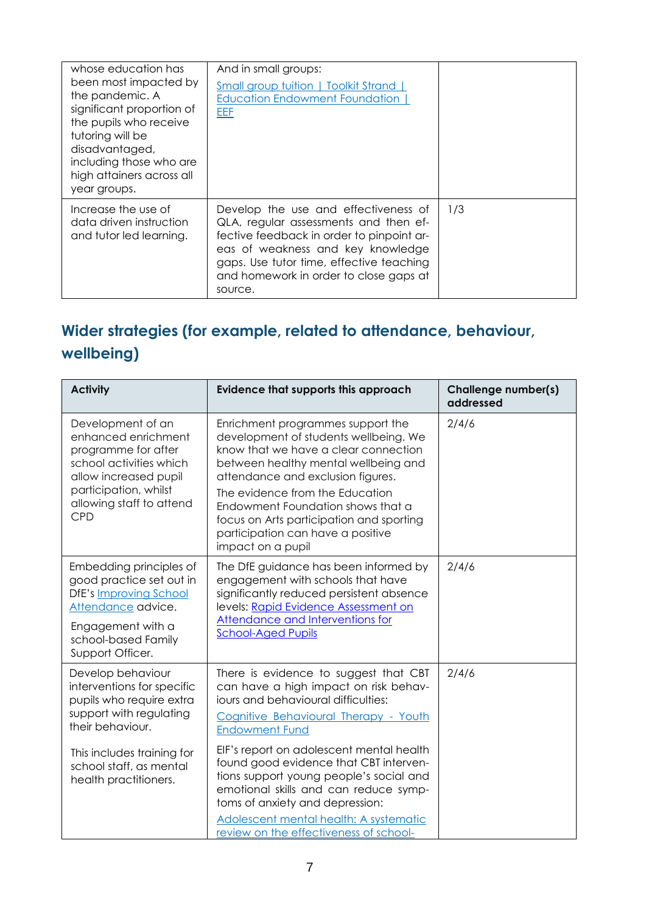| whose education has<br>been most impacted by<br>the pandemic. A<br>significant proportion of<br>the pupils who receive<br>tutoring will be<br>disadvantaged,<br>including those who are<br>high attainers across all<br>year groups. | And in small groups:<br>Small group tuition   Toolkit Strand  <br><b>Education Endowment Foundation  </b><br><b>EEF</b>                                                                                                                                          |     |
|--------------------------------------------------------------------------------------------------------------------------------------------------------------------------------------------------------------------------------------|------------------------------------------------------------------------------------------------------------------------------------------------------------------------------------------------------------------------------------------------------------------|-----|
| Increase the use of<br>data driven instruction<br>and tutor led learning.                                                                                                                                                            | Develop the use and effectiveness of<br>QLA, regular assessments and then ef-<br>fective feedback in order to pinpoint ar-<br>eas of weakness and key knowledge<br>gaps. Use tutor time, effective teaching<br>and homework in order to close gaps at<br>source. | 1/3 |

## **Wider strategies (for example, related to attendance, behaviour, wellbeing)**

| <b>Activity</b>                                                                                                                                                                                              | Evidence that supports this approach                                                                                                                                                                                                                                                                                                                                                                                                           | Challenge number(s)<br>addressed |
|--------------------------------------------------------------------------------------------------------------------------------------------------------------------------------------------------------------|------------------------------------------------------------------------------------------------------------------------------------------------------------------------------------------------------------------------------------------------------------------------------------------------------------------------------------------------------------------------------------------------------------------------------------------------|----------------------------------|
| Development of an<br>enhanced enrichment<br>programme for after<br>school activities which<br>allow increased pupil<br>participation, whilst<br>allowing staff to attend<br><b>CPD</b>                       | Enrichment programmes support the<br>development of students wellbeing. We<br>know that we have a clear connection<br>between healthy mental wellbeing and<br>attendance and exclusion figures.<br>The evidence from the Education<br>Endowment Foundation shows that a<br>focus on Arts participation and sporting<br>participation can have a positive<br>impact on a pupil                                                                  | 2/4/6                            |
| Embedding principles of<br>good practice set out in<br>DfE's Improving School<br>Attendance advice.<br>Engagement with a<br>school-based Family<br>Support Officer.                                          | The DfE guidance has been informed by<br>engagement with schools that have<br>significantly reduced persistent absence<br>levels: Rapid Evidence Assessment on<br><b>Attendance and Interventions for</b><br><b>School-Aged Pupils</b>                                                                                                                                                                                                         | 2/4/6                            |
| Develop behaviour<br>interventions for specific<br>pupils who require extra<br>support with regulating<br>their behaviour.<br>This includes training for<br>school staff, as mental<br>health practitioners. | There is evidence to suggest that CBT<br>can have a high impact on risk behav-<br>jours and behavioural difficulties:<br>Cognitive Behavioural Therapy - Youth<br><b>Endowment Fund</b><br>EIF's report on adolescent mental health<br>found good evidence that CBT interven-<br>tions support young people's social and<br>emotional skills and can reduce symp-<br>toms of anxiety and depression:<br>Adolescent mental health: A systematic | 2/4/6                            |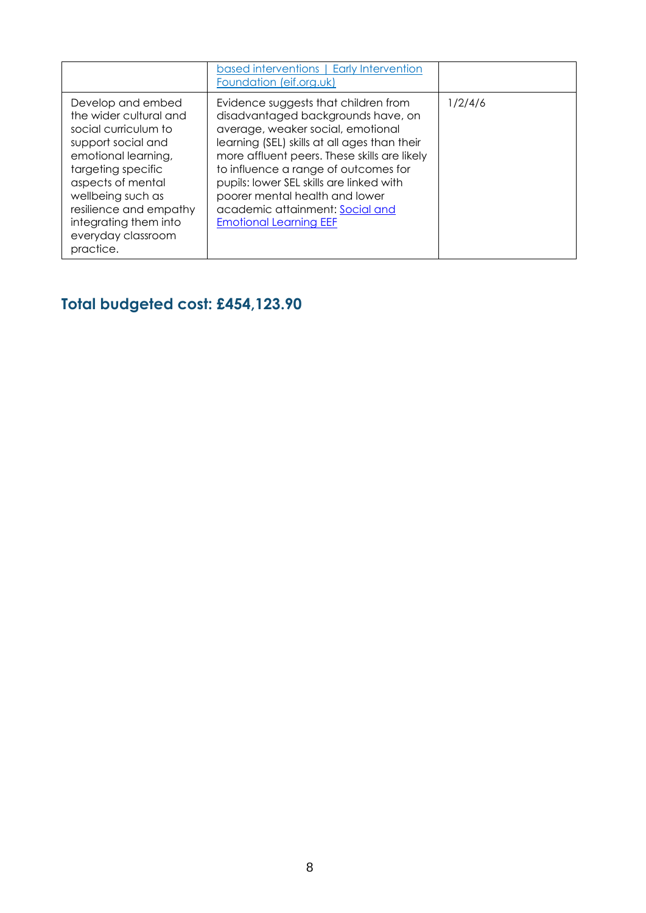|                                                                                                                                                                                                                                                                        | based interventions   Early Intervention<br>Foundation (eif.org.uk)                                                                                                                                                                                                                                                                                                                                       |         |
|------------------------------------------------------------------------------------------------------------------------------------------------------------------------------------------------------------------------------------------------------------------------|-----------------------------------------------------------------------------------------------------------------------------------------------------------------------------------------------------------------------------------------------------------------------------------------------------------------------------------------------------------------------------------------------------------|---------|
| Develop and embed<br>the wider cultural and<br>social curriculum to<br>support social and<br>emotional learning,<br>targeting specific<br>aspects of mental<br>wellbeing such as<br>resilience and empathy<br>integrating them into<br>everyday classroom<br>practice. | Evidence suggests that children from<br>disadvantaged backgrounds have, on<br>average, weaker social, emotional<br>learning (SEL) skills at all ages than their<br>more affluent peers. These skills are likely<br>to influence a range of outcomes for<br>pupils: lower SEL skills are linked with<br>poorer mental health and lower<br>academic attainment: Social and<br><b>Emotional Learning EEF</b> | 1/2/4/6 |

## **Total budgeted cost: £454,123.90**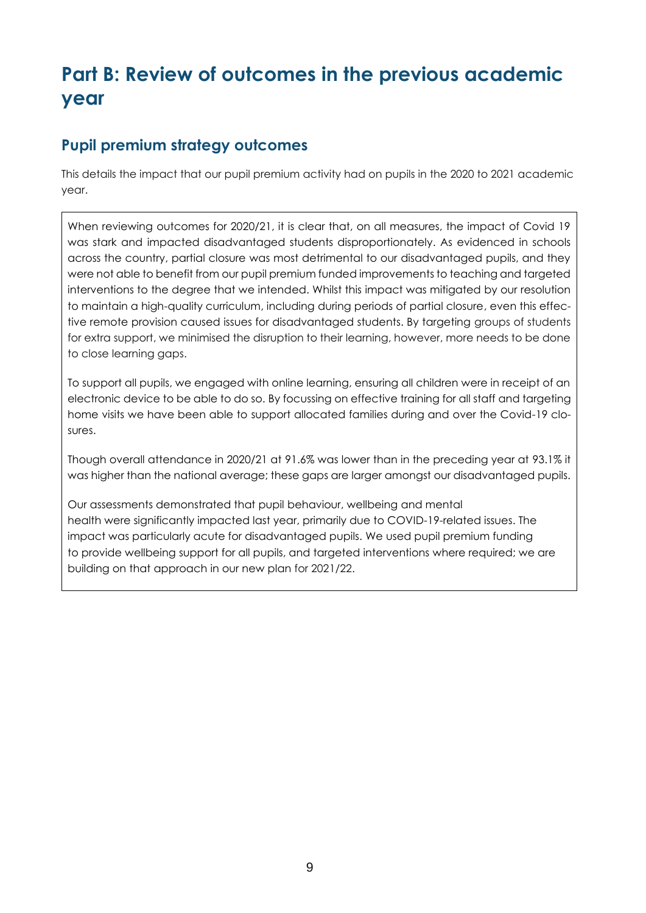## **Part B: Review of outcomes in the previous academic year**

#### **Pupil premium strategy outcomes**

This details the impact that our pupil premium activity had on pupils in the 2020 to 2021 academic year.

When reviewing outcomes for 2020/21, it is clear that, on all measures, the impact of Covid 19 was stark and impacted disadvantaged students disproportionately. As evidenced in schools across the country, partial closure was most detrimental to our disadvantaged pupils, and they were not able to benefit from our pupil premium funded improvements to teaching and targeted interventions to the degree that we intended. Whilst this impact was mitigated by our resolution to maintain a high-quality curriculum, including during periods of partial closure, even this effective remote provision caused issues for disadvantaged students. By targeting groups of students for extra support, we minimised the disruption to their learning, however, more needs to be done to close learning gaps.

To support all pupils, we engaged with online learning, ensuring all children were in receipt of an electronic device to be able to do so. By focussing on effective training for all staff and targeting home visits we have been able to support allocated families during and over the Covid-19 closures.

Though overall attendance in 2020/21 at 91.6% was lower than in the preceding year at 93.1% it was higher than the national average; these gaps are larger amongst our disadvantaged pupils.

Our assessments demonstrated that pupil behaviour, wellbeing and mental health were significantly impacted last year, primarily due to COVID-19-related issues. The impact was particularly acute for disadvantaged pupils. We used pupil premium funding to provide wellbeing support for all pupils, and targeted interventions where required; we are building on that approach in our new plan for 2021/22.